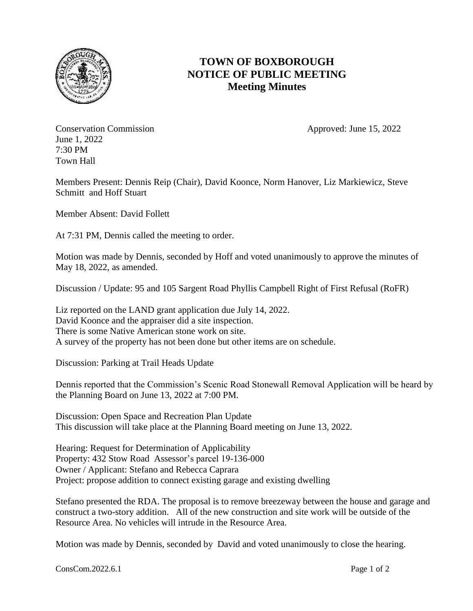

## **TOWN OF BOXBOROUGH NOTICE OF PUBLIC MEETING Meeting Minutes**

Conservation Commission Approved: June 15, 2022 June 1, 2022 7:30 PM Town Hall

Members Present: Dennis Reip (Chair), David Koonce, Norm Hanover, Liz Markiewicz, Steve Schmitt and Hoff Stuart

Member Absent: David Follett

At 7:31 PM, Dennis called the meeting to order.

Motion was made by Dennis, seconded by Hoff and voted unanimously to approve the minutes of May 18, 2022, as amended.

Discussion / Update: 95 and 105 Sargent Road Phyllis Campbell Right of First Refusal (RoFR)

Liz reported on the LAND grant application due July 14, 2022. David Koonce and the appraiser did a site inspection. There is some Native American stone work on site. A survey of the property has not been done but other items are on schedule.

Discussion: Parking at Trail Heads Update

Dennis reported that the Commission's Scenic Road Stonewall Removal Application will be heard by the Planning Board on June 13, 2022 at 7:00 PM.

Discussion: Open Space and Recreation Plan Update This discussion will take place at the Planning Board meeting on June 13, 2022.

Hearing: Request for Determination of Applicability Property: 432 Stow Road Assessor's parcel 19-136-000 Owner / Applicant: Stefano and Rebecca Caprara Project: propose addition to connect existing garage and existing dwelling

Stefano presented the RDA. The proposal is to remove breezeway between the house and garage and construct a two-story addition. All of the new construction and site work will be outside of the Resource Area. No vehicles will intrude in the Resource Area.

Motion was made by Dennis, seconded by David and voted unanimously to close the hearing.

ConsCom.2022.6.1 Page 1 of 2